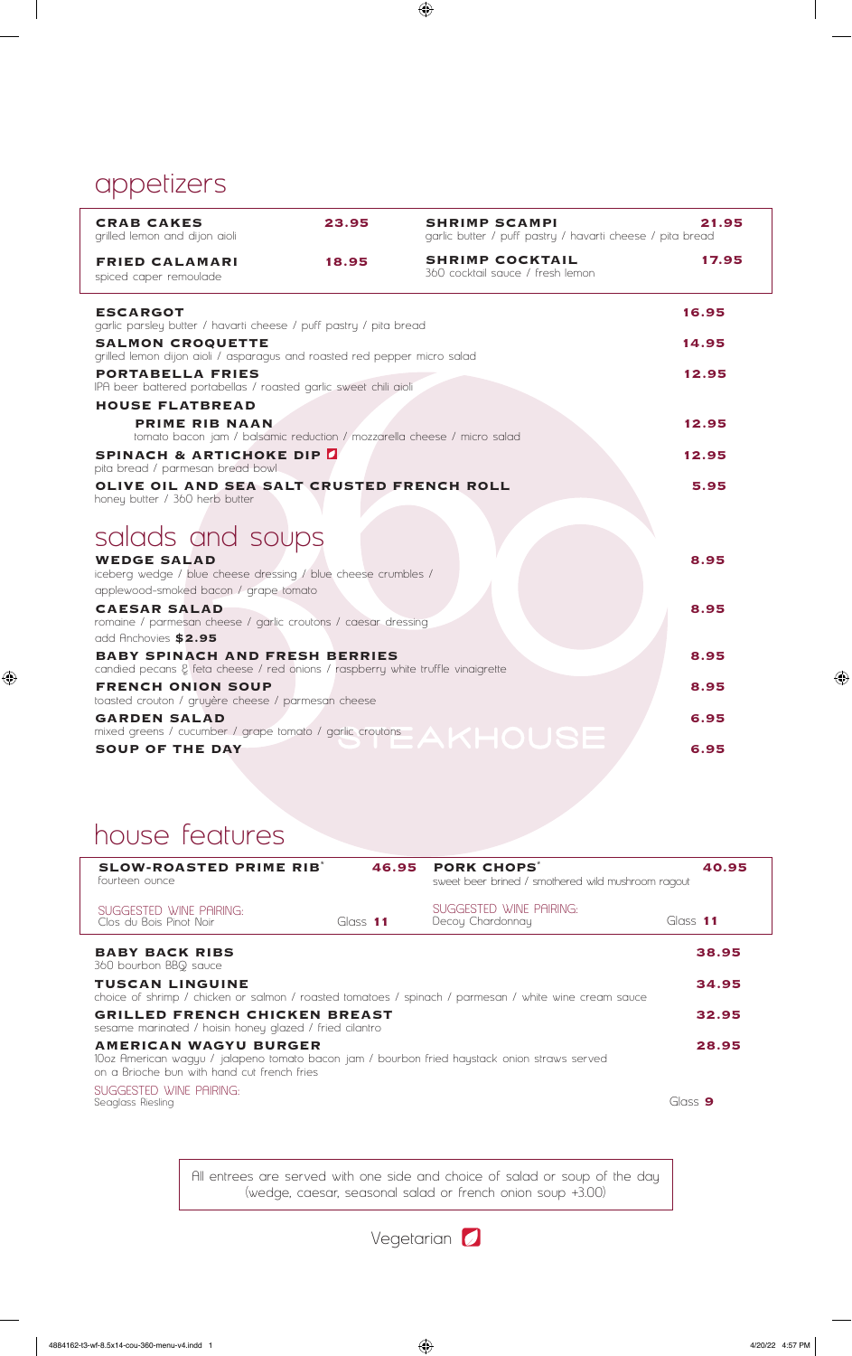## appetizers

| <b>CRAB CAKES</b><br>grilled lemon and dijon aioli                                                                           | 23.95 | <b>SHRIMP SCAMPI</b><br>garlic butter / puff pastry / havarti cheese / pita bread | 21.95 |
|------------------------------------------------------------------------------------------------------------------------------|-------|-----------------------------------------------------------------------------------|-------|
| <b>FRIED CALAMARI</b><br>spiced caper remoulade                                                                              | 18.95 | <b>SHRIMP COCKTAIL</b><br>360 cocktail sauce / fresh lemon                        | 17.95 |
| <b>ESCARGOT</b><br>garlic parsley butter / havarti cheese / puff pastry / pita bread                                         |       |                                                                                   | 16.95 |
| <b>SALMON CROQUETTE</b><br>grilled lemon dijon aioli / asparagus and roasted red pepper micro salad                          |       |                                                                                   | 14.95 |
| <b>PORTABELLA FRIES</b><br>IPA beer battered portabellas / roasted garlic sweet chili aioli                                  |       |                                                                                   | 12.95 |
| <b>HOUSE FLATBREAD</b>                                                                                                       |       |                                                                                   |       |
| <b>PRIME RIB NAAN</b><br>tomato bacon jam / balsamic reduction / mozzarella cheese / micro salad                             |       |                                                                                   | 12.95 |
| <b>SPINACH &amp; ARTICHOKE DIP 2</b><br>pita bread / parmesan bread bowl                                                     |       |                                                                                   | 12.95 |
| OLIVE OIL AND SEA SALT CRUSTED FRENCH ROLL<br>honey butter / 360 herb butter                                                 |       |                                                                                   | 5.95  |
| salads and soups                                                                                                             |       |                                                                                   |       |
| <b>WEDGE SALAD</b><br>iceberg wedge / blue cheese dressing / blue cheese crumbles /<br>applewood-smoked bacon / grape tomato |       |                                                                                   | 8.95  |
| <b>CAESAR SALAD</b><br>romaine / parmesan cheese / garlic croutons / caesar dressing<br>add Anchovies \$2.95                 |       |                                                                                   | 8.95  |
| <b>BABY SPINACH AND FRESH BERRIES</b><br>candied pecans & feta cheese / red onions / raspberry white truffle vinaigrette     |       |                                                                                   | 8.95  |
| <b>FRENCH ONION SOUP</b><br>toasted crouton / gruyère cheese / parmesan cheese                                               |       |                                                                                   | 8.95  |
| <b>GARDEN SALAD</b>                                                                                                          |       |                                                                                   | 6.95  |
| mixed greens / cucumber / grape tomato / garlic croutons<br><b>SOUP OF THE DAY</b>                                           |       |                                                                                   | 6.95  |

## house features

 $\bigoplus$ 

| SLOW-ROASTED PRIME RIB <sup>*</sup><br>fourteen ounce                                                                                                                       | 46.95    | <b>PORK CHOPS</b><br>sweet beer brined / smothered wild mushroom ragout | 40.95     |
|-----------------------------------------------------------------------------------------------------------------------------------------------------------------------------|----------|-------------------------------------------------------------------------|-----------|
| SUGGESTED WINE PAIRING:<br>Clos du Bois Pinot Noir                                                                                                                          | Glass 11 | SUGGESTED WINE PAIRING:<br>Decoy Chardonnay                             | Glass 11  |
| <b>BABY BACK RIBS</b><br>360 bourbon BBQ sauce                                                                                                                              |          |                                                                         | 38.95     |
| <b>TUSCAN LINGUINE</b><br>choice of shrimp / chicken or salmon / roasted tomatoes / spinach / parmesan / white wine cream sauce                                             | 34.95    |                                                                         |           |
| <b>GRILLED FRENCH CHICKEN BREAST</b><br>sesame marinated / hoisin honey glazed / fried cilantro                                                                             |          |                                                                         | 32.95     |
| <b>AMERICAN WAGYU BURGER</b><br>10oz American wagyu / jalapeno tomato bacon jam / bourbon fried haystack onion straws served<br>on a Brioche bun with hand cut french fries |          |                                                                         | 28.95     |
| SUGGESTED WINE PAIRING:<br>Seaglass Riesling                                                                                                                                |          |                                                                         | Glass $9$ |

All entrees are served with one side and choice of salad or soup of the day (wedge, caesar, seasonal salad or french onion soup +3.00)

Vegetarian **0** 

 $\bigoplus$